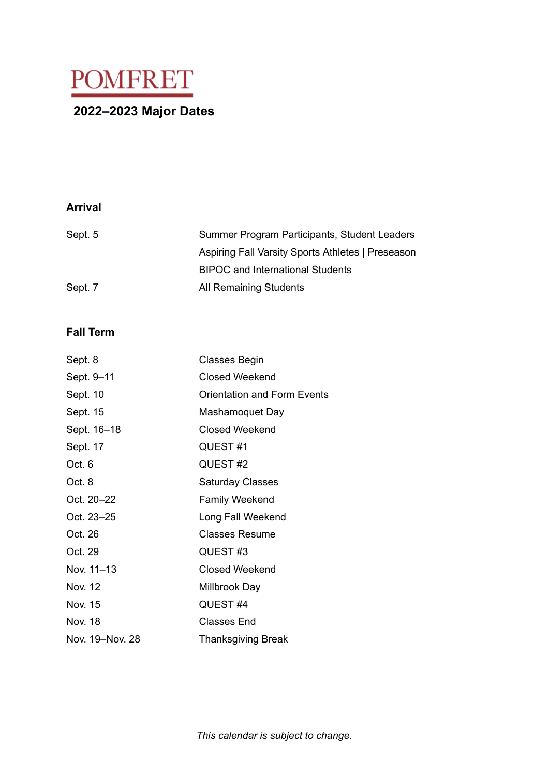# POMFRET **2022–2023 Major Dates**

## **Arrival**

| Sept. 5 | Summer Program Participants, Student Leaders      |
|---------|---------------------------------------------------|
|         | Aspiring Fall Varsity Sports Athletes   Preseason |
|         | <b>BIPOC</b> and International Students           |
| Sept. 7 | All Remaining Students                            |

## **Fall Term**

| <b>Classes Begin</b>               |
|------------------------------------|
| Closed Weekend                     |
| <b>Orientation and Form Events</b> |
| Mashamoquet Day                    |
| <b>Closed Weekend</b>              |
| QUEST#1                            |
| QUEST#2                            |
| <b>Saturday Classes</b>            |
| Family Weekend                     |
| Long Fall Weekend                  |
| <b>Classes Resume</b>              |
| QUEST#3                            |
| <b>Closed Weekend</b>              |
| Millbrook Day                      |
| QUEST#4                            |
| <b>Classes End</b>                 |
| <b>Thanksgiving Break</b>          |
|                                    |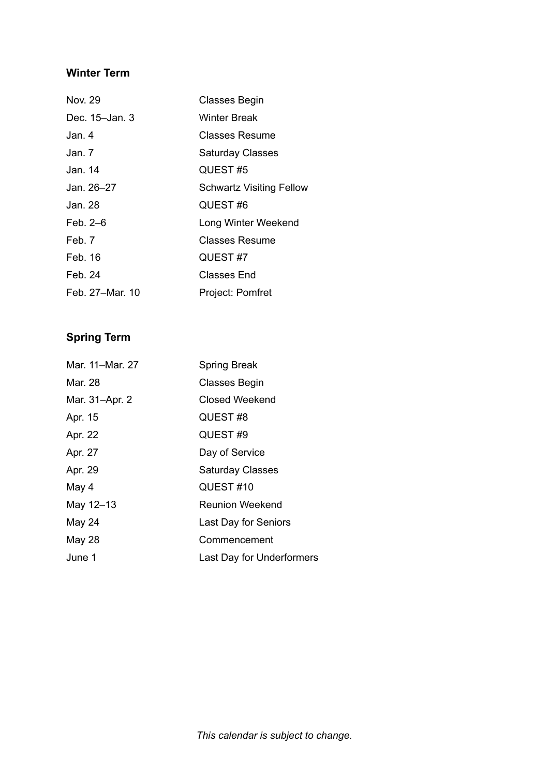# **Winter Term**

| Nov. 29         | Classes Begin                   |
|-----------------|---------------------------------|
| Dec. 15–Jan. 3  | Winter Break                    |
| Jan. 4          | <b>Classes Resume</b>           |
| Jan. 7.         | <b>Saturday Classes</b>         |
| Jan. 14         | QUEST#5                         |
| Jan. 26–27      | <b>Schwartz Visiting Fellow</b> |
| Jan. 28         | QUEST#6                         |
| Feb. 2–6        | Long Winter Weekend             |
| Feb. 7          | Classes Resume                  |
| Feb. 16         | QUEST#7                         |
| Feb. 24         | Classes End                     |
| Feb. 27–Mar. 10 | Project: Pomfret                |

# **Spring Term**

| Mar. 11-Mar. 27 | <b>Spring Break</b>       |
|-----------------|---------------------------|
| Mar. 28         | Classes Begin             |
| Mar. 31-Apr. 2  | <b>Closed Weekend</b>     |
| Apr. 15         | QUEST#8                   |
| Apr. 22         | QUEST#9                   |
| Apr. 27         | Day of Service            |
| Apr. 29         | <b>Saturday Classes</b>   |
| May 4           | QUEST#10                  |
| May 12-13       | <b>Reunion Weekend</b>    |
| May 24          | Last Day for Seniors      |
| <b>May 28</b>   | Commencement              |
| June 1          | Last Day for Underformers |